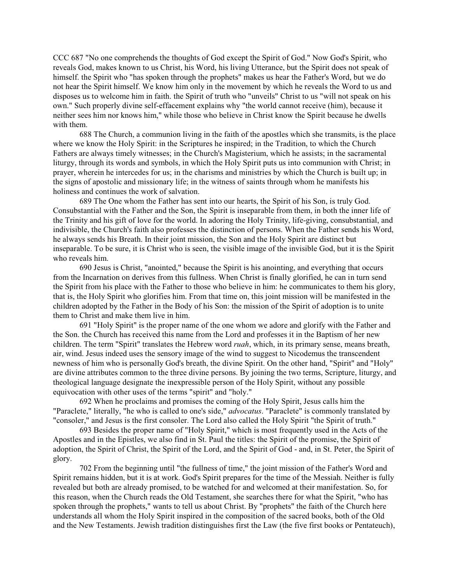CCC 687 "No one comprehends the thoughts of God except the Spirit of God." Now God's Spirit, who reveals God, makes known to us Christ, his Word, his living Utterance, but the Spirit does not speak of himself. the Spirit who "has spoken through the prophets" makes us hear the Father's Word, but we do not hear the Spirit himself. We know him only in the movement by which he reveals the Word to us and disposes us to welcome him in faith. the Spirit of truth who "unveils" Christ to us "will not speak on his own." Such properly divine self-effacement explains why "the world cannot receive (him), because it neither sees him nor knows him," while those who believe in Christ know the Spirit because he dwells with them.

688 The Church, a communion living in the faith of the apostles which she transmits, is the place where we know the Holy Spirit: in the Scriptures he inspired; in the Tradition, to which the Church Fathers are always timely witnesses; in the Church's Magisterium, which he assists; in the sacramental liturgy, through its words and symbols, in which the Holy Spirit puts us into communion with Christ; in prayer, wherein he intercedes for us; in the charisms and ministries by which the Church is built up; in the signs of apostolic and missionary life; in the witness of saints through whom he manifests his holiness and continues the work of salvation.

689 The One whom the Father has sent into our hearts, the Spirit of his Son, is truly God. Consubstantial with the Father and the Son, the Spirit is inseparable from them, in both the inner life of the Trinity and his gift of love for the world. In adoring the Holy Trinity, life-giving, consubstantial, and indivisible, the Church's faith also professes the distinction of persons. When the Father sends his Word, he always sends his Breath. In their joint mission, the Son and the Holy Spirit are distinct but inseparable. To be sure, it is Christ who is seen, the visible image of the invisible God, but it is the Spirit who reveals him.

690 Jesus is Christ, "anointed," because the Spirit is his anointing, and everything that occurs from the Incarnation on derives from this fullness. When Christ is finally glorified, he can in turn send the Spirit from his place with the Father to those who believe in him: he communicates to them his glory, that is, the Holy Spirit who glorifies him. From that time on, this joint mission will be manifested in the children adopted by the Father in the Body of his Son: the mission of the Spirit of adoption is to unite them to Christ and make them live in him.

691 "Holy Spirit" is the proper name of the one whom we adore and glorify with the Father and the Son. the Church has received this name from the Lord and professes it in the Baptism of her new children. The term "Spirit" translates the Hebrew word *ruah*, which, in its primary sense, means breath, air, wind. Jesus indeed uses the sensory image of the wind to suggest to Nicodemus the transcendent newness of him who is personally God's breath, the divine Spirit. On the other hand, "Spirit" and "Holy" are divine attributes common to the three divine persons. By joining the two terms, Scripture, liturgy, and theological language designate the inexpressible person of the Holy Spirit, without any possible equivocation with other uses of the terms "spirit" and "holy."

692 When he proclaims and promises the coming of the Holy Spirit, Jesus calls him the "Paraclete," literally, "he who is called to one's side," *advocatus*. "Paraclete" is commonly translated by "consoler," and Jesus is the first consoler. The Lord also called the Holy Spirit "the Spirit of truth."

693 Besides the proper name of "Holy Spirit," which is most frequently used in the Acts of the Apostles and in the Epistles, we also find in St. Paul the titles: the Spirit of the promise, the Spirit of adoption, the Spirit of Christ, the Spirit of the Lord, and the Spirit of God - and, in St. Peter, the Spirit of glory.

702 From the beginning until "the fullness of time," the joint mission of the Father's Word and Spirit remains hidden, but it is at work. God's Spirit prepares for the time of the Messiah. Neither is fully revealed but both are already promised, to be watched for and welcomed at their manifestation. So, for this reason, when the Church reads the Old Testament, she searches there for what the Spirit, "who has spoken through the prophets," wants to tell us about Christ. By "prophets" the faith of the Church here understands all whom the Holy Spirit inspired in the composition of the sacred books, both of the Old and the New Testaments. Jewish tradition distinguishes first the Law (the five first books or Pentateuch),